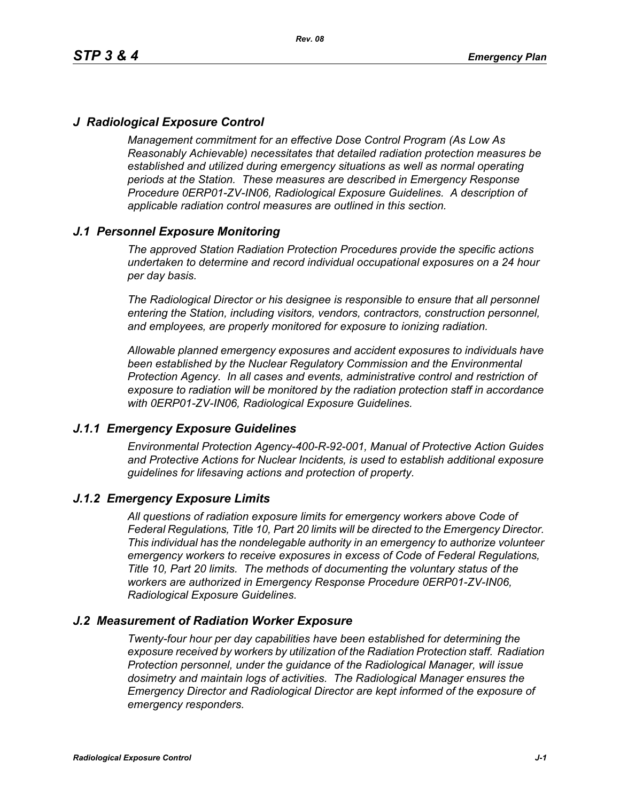# *J Radiological Exposure Control*

*Management commitment for an effective Dose Control Program (As Low As Reasonably Achievable) necessitates that detailed radiation protection measures be established and utilized during emergency situations as well as normal operating periods at the Station. These measures are described in Emergency Response Procedure 0ERP01-ZV-IN06, Radiological Exposure Guidelines. A description of applicable radiation control measures are outlined in this section.*

# *J.1 Personnel Exposure Monitoring*

*The approved Station Radiation Protection Procedures provide the specific actions undertaken to determine and record individual occupational exposures on a 24 hour per day basis.*

*The Radiological Director or his designee is responsible to ensure that all personnel entering the Station, including visitors, vendors, contractors, construction personnel, and employees, are properly monitored for exposure to ionizing radiation.*

*Allowable planned emergency exposures and accident exposures to individuals have been established by the Nuclear Regulatory Commission and the Environmental Protection Agency. In all cases and events, administrative control and restriction of exposure to radiation will be monitored by the radiation protection staff in accordance with 0ERP01-ZV-IN06, Radiological Exposure Guidelines.*

### *J.1.1 Emergency Exposure Guidelines*

*Environmental Protection Agency-400-R-92-001, Manual of Protective Action Guides and Protective Actions for Nuclear Incidents, is used to establish additional exposure guidelines for lifesaving actions and protection of property.*

### *J.1.2 Emergency Exposure Limits*

*All questions of radiation exposure limits for emergency workers above Code of Federal Regulations, Title 10, Part 20 limits will be directed to the Emergency Director. This individual has the nondelegable authority in an emergency to authorize volunteer emergency workers to receive exposures in excess of Code of Federal Regulations, Title 10, Part 20 limits. The methods of documenting the voluntary status of the workers are authorized in Emergency Response Procedure 0ERP01-ZV-IN06, Radiological Exposure Guidelines.*

### *J.2 Measurement of Radiation Worker Exposure*

*Twenty-four hour per day capabilities have been established for determining the exposure received by workers by utilization of the Radiation Protection staff. Radiation Protection personnel, under the guidance of the Radiological Manager, will issue dosimetry and maintain logs of activities. The Radiological Manager ensures the Emergency Director and Radiological Director are kept informed of the exposure of emergency responders.*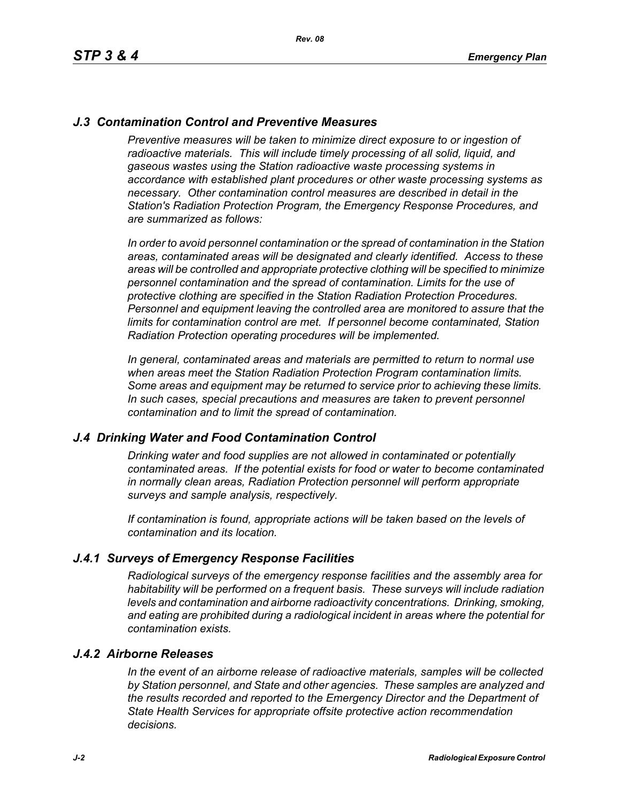# *J.3 Contamination Control and Preventive Measures*

*Preventive measures will be taken to minimize direct exposure to or ingestion of* radioactive materials. This will include timely processing of all solid, liquid, and *gaseous wastes using the Station radioactive waste processing systems in accordance with established plant procedures or other waste processing systems as necessary. Other contamination control measures are described in detail in the Station's Radiation Protection Program, the Emergency Response Procedures, and are summarized as follows:*

*In order to avoid personnel contamination or the spread of contamination in the Station areas, contaminated areas will be designated and clearly identified. Access to these areas will be controlled and appropriate protective clothing will be specified to minimize personnel contamination and the spread of contamination. Limits for the use of protective clothing are specified in the Station Radiation Protection Procedures. Personnel and equipment leaving the controlled area are monitored to assure that the limits for contamination control are met. If personnel become contaminated, Station Radiation Protection operating procedures will be implemented.* 

*In general, contaminated areas and materials are permitted to return to normal use when areas meet the Station Radiation Protection Program contamination limits. Some areas and equipment may be returned to service prior to achieving these limits. In such cases, special precautions and measures are taken to prevent personnel contamination and to limit the spread of contamination.*

### *J.4 Drinking Water and Food Contamination Control*

*Drinking water and food supplies are not allowed in contaminated or potentially contaminated areas. If the potential exists for food or water to become contaminated in normally clean areas, Radiation Protection personnel will perform appropriate surveys and sample analysis, respectively.*

*If contamination is found, appropriate actions will be taken based on the levels of contamination and its location.*

### *J.4.1 Surveys of Emergency Response Facilities*

*Radiological surveys of the emergency response facilities and the assembly area for habitability will be performed on a frequent basis. These surveys will include radiation levels and contamination and airborne radioactivity concentrations. Drinking, smoking, and eating are prohibited during a radiological incident in areas where the potential for contamination exists.*

#### *J.4.2 Airborne Releases*

*In the event of an airborne release of radioactive materials, samples will be collected by Station personnel, and State and other agencies. These samples are analyzed and the results recorded and reported to the Emergency Director and the Department of State Health Services for appropriate offsite protective action recommendation decisions.*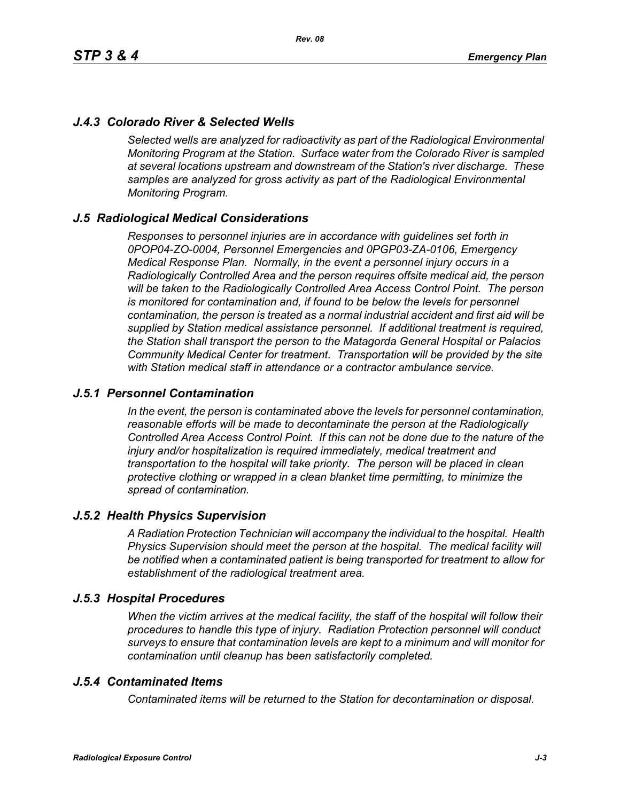# *J.4.3 Colorado River & Selected Wells*

*Selected wells are analyzed for radioactivity as part of the Radiological Environmental Monitoring Program at the Station. Surface water from the Colorado River is sampled at several locations upstream and downstream of the Station's river discharge. These samples are analyzed for gross activity as part of the Radiological Environmental Monitoring Program.*

### *J.5 Radiological Medical Considerations*

*Responses to personnel injuries are in accordance with guidelines set forth in 0POP04-ZO-0004, Personnel Emergencies and 0PGP03-ZA-0106, Emergency Medical Response Plan. Normally, in the event a personnel injury occurs in a Radiologically Controlled Area and the person requires offsite medical aid, the person will be taken to the Radiologically Controlled Area Access Control Point. The person is monitored for contamination and, if found to be below the levels for personnel contamination, the person is treated as a normal industrial accident and first aid will be supplied by Station medical assistance personnel. If additional treatment is required, the Station shall transport the person to the Matagorda General Hospital or Palacios Community Medical Center for treatment. Transportation will be provided by the site with Station medical staff in attendance or a contractor ambulance service.*

### *J.5.1 Personnel Contamination*

*In the event, the person is contaminated above the levels for personnel contamination, reasonable efforts will be made to decontaminate the person at the Radiologically Controlled Area Access Control Point. If this can not be done due to the nature of the injury and/or hospitalization is required immediately, medical treatment and transportation to the hospital will take priority. The person will be placed in clean protective clothing or wrapped in a clean blanket time permitting, to minimize the spread of contamination.*

### *J.5.2 Health Physics Supervision*

*A Radiation Protection Technician will accompany the individual to the hospital. Health Physics Supervision should meet the person at the hospital. The medical facility will be notified when a contaminated patient is being transported for treatment to allow for establishment of the radiological treatment area.*

### *J.5.3 Hospital Procedures*

*When the victim arrives at the medical facility, the staff of the hospital will follow their procedures to handle this type of injury. Radiation Protection personnel will conduct surveys to ensure that contamination levels are kept to a minimum and will monitor for contamination until cleanup has been satisfactorily completed.*

### *J.5.4 Contaminated Items*

*Contaminated items will be returned to the Station for decontamination or disposal.*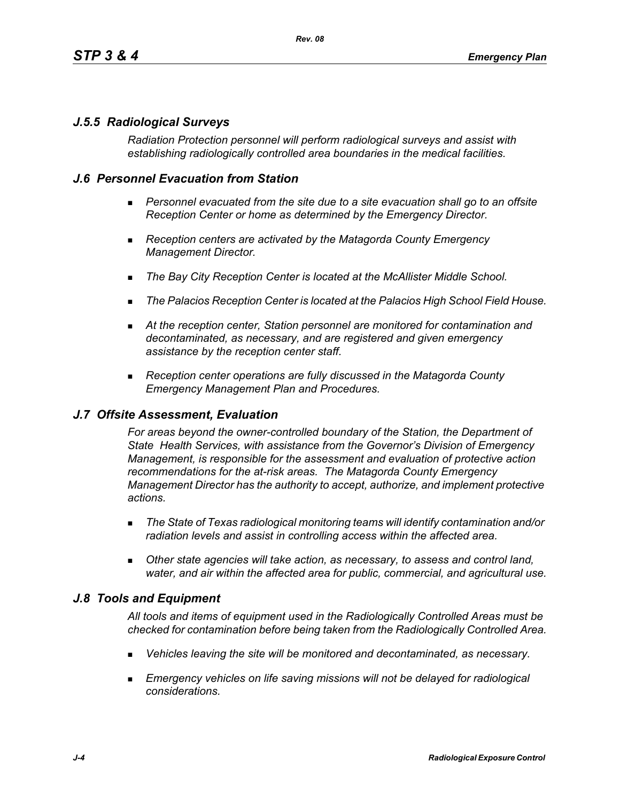# *J.5.5 Radiological Surveys*

*Radiation Protection personnel will perform radiological surveys and assist with establishing radiologically controlled area boundaries in the medical facilities.*

## *J.6 Personnel Evacuation from Station*

- **Personnel evacuated from the site due to a site evacuation shall go to an offsite** *Reception Center or home as determined by the Emergency Director.*
- *Reception centers are activated by the Matagorda County Emergency Management Director.*
- *The Bay City Reception Center is located at the McAllister Middle School.*
- *The Palacios Reception Center is located at the Palacios High School Field House.*
- *At the reception center, Station personnel are monitored for contamination and decontaminated, as necessary, and are registered and given emergency assistance by the reception center staff.*
- *Reception center operations are fully discussed in the Matagorda County Emergency Management Plan and Procedures.*

### *J.7 Offsite Assessment, Evaluation*

*For areas beyond the owner-controlled boundary of the Station, the Department of State Health Services, with assistance from the Governor's Division of Emergency Management, is responsible for the assessment and evaluation of protective action recommendations for the at-risk areas. The Matagorda County Emergency Management Director has the authority to accept, authorize, and implement protective actions.*

- *The State of Texas radiological monitoring teams will identify contamination and/or radiation levels and assist in controlling access within the affected area.*
- *Other state agencies will take action, as necessary, to assess and control land, water, and air within the affected area for public, commercial, and agricultural use.*

### *J.8 Tools and Equipment*

*All tools and items of equipment used in the Radiologically Controlled Areas must be checked for contamination before being taken from the Radiologically Controlled Area.*

- *Vehicles leaving the site will be monitored and decontaminated, as necessary.*
- **Emergency vehicles on life saving missions will not be delayed for radiological** *considerations.*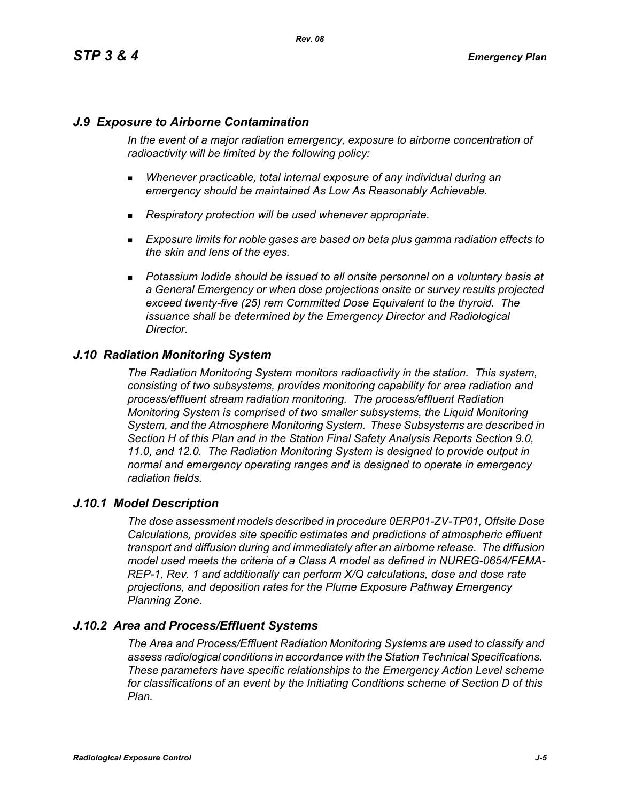# *J.9 Exposure to Airborne Contamination*

*In the event of a major radiation emergency, exposure to airborne concentration of radioactivity will be limited by the following policy:*

- *Whenever practicable, total internal exposure of any individual during an emergency should be maintained As Low As Reasonably Achievable.*
- *Respiratory protection will be used whenever appropriate.*
- *Exposure limits for noble gases are based on beta plus gamma radiation effects to the skin and lens of the eyes.*
- **Potassium Iodide should be issued to all onsite personnel on a voluntary basis at** *a General Emergency or when dose projections onsite or survey results projected exceed twenty-five (25) rem Committed Dose Equivalent to the thyroid. The issuance shall be determined by the Emergency Director and Radiological Director.*

# *J.10 Radiation Monitoring System*

*The Radiation Monitoring System monitors radioactivity in the station. This system, consisting of two subsystems, provides monitoring capability for area radiation and process/effluent stream radiation monitoring. The process/effluent Radiation Monitoring System is comprised of two smaller subsystems, the Liquid Monitoring System, and the Atmosphere Monitoring System. These Subsystems are described in Section H of this Plan and in the Station Final Safety Analysis Reports Section 9.0, 11.0, and 12.0. The Radiation Monitoring System is designed to provide output in normal and emergency operating ranges and is designed to operate in emergency radiation fields.*

### *J.10.1 Model Description*

*The dose assessment models described in procedure 0ERP01-ZV-TP01, Offsite Dose Calculations, provides site specific estimates and predictions of atmospheric effluent transport and diffusion during and immediately after an airborne release. The diffusion model used meets the criteria of a Class A model as defined in NUREG-0654/FEMA-REP-1, Rev. 1 and additionally can perform X/Q calculations, dose and dose rate projections, and deposition rates for the Plume Exposure Pathway Emergency Planning Zone.*

# *J.10.2 Area and Process/Effluent Systems*

*The Area and Process/Effluent Radiation Monitoring Systems are used to classify and assess radiological conditions in accordance with the Station Technical Specifications. These parameters have specific relationships to the Emergency Action Level scheme for classifications of an event by the Initiating Conditions scheme of Section D of this Plan.*